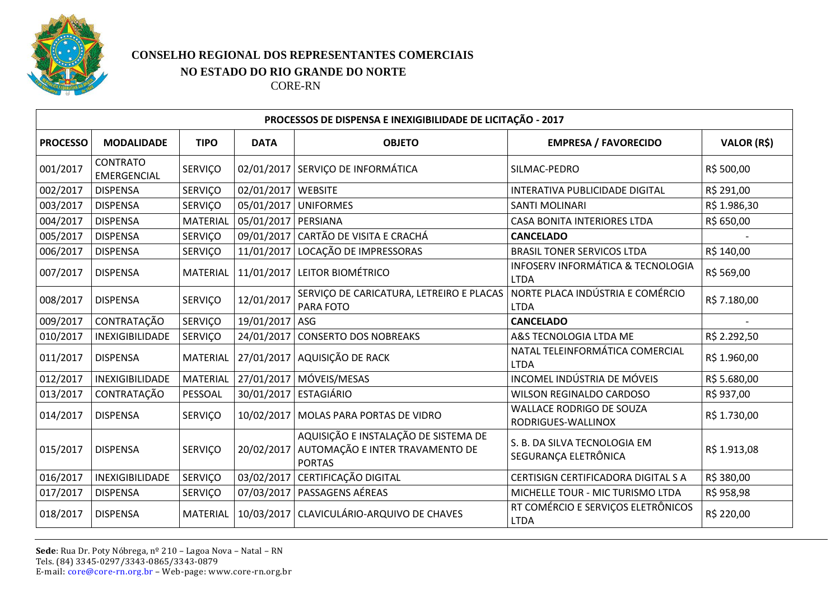

## **CONSELHO REGIONAL DOS REPRESENTANTES COMERCIAIS NO ESTADO DO RIO GRANDE DO NORTE**

CORE-RN

| PROCESSOS DE DISPENSA E INEXIGIBILIDADE DE LICITAÇÃO - 2017 |                                       |                 |                      |                                                                                                       |                                                      |                    |  |  |  |  |
|-------------------------------------------------------------|---------------------------------------|-----------------|----------------------|-------------------------------------------------------------------------------------------------------|------------------------------------------------------|--------------------|--|--|--|--|
| <b>PROCESSO</b>                                             | <b>MODALIDADE</b>                     | <b>TIPO</b>     | <b>DATA</b>          | <b>OBJETO</b>                                                                                         | <b>EMPRESA / FAVORECIDO</b>                          | <b>VALOR (R\$)</b> |  |  |  |  |
| 001/2017                                                    | <b>CONTRATO</b><br><b>EMERGENCIAL</b> | SERVIÇO         |                      | 02/01/2017 SERVIÇO DE INFORMÁTICA                                                                     | SILMAC-PEDRO                                         | R\$ 500,00         |  |  |  |  |
| 002/2017                                                    | <b>DISPENSA</b>                       | SERVIÇO         | 02/01/2017   WEBSITE |                                                                                                       | INTERATIVA PUBLICIDADE DIGITAL                       | R\$ 291,00         |  |  |  |  |
| 003/2017                                                    | <b>DISPENSA</b>                       | SERVIÇO         |                      | 05/01/2017 UNIFORMES                                                                                  | <b>SANTI MOLINARI</b>                                | R\$ 1.986,30       |  |  |  |  |
| 004/2017                                                    | <b>DISPENSA</b>                       | <b>MATERIAL</b> | 05/01/2017 PERSIANA  |                                                                                                       | CASA BONITA INTERIORES LTDA                          | R\$ 650,00         |  |  |  |  |
| 005/2017                                                    | <b>DISPENSA</b>                       | SERVIÇO         |                      | 09/01/2017 CARTÃO DE VISITA E CRACHÁ                                                                  | <b>CANCELADO</b>                                     |                    |  |  |  |  |
| 006/2017                                                    | <b>DISPENSA</b>                       | SERVIÇO         |                      | 11/01/2017 LOCAÇÃO DE IMPRESSORAS                                                                     | <b>BRASIL TONER SERVICOS LTDA</b>                    | R\$ 140,00         |  |  |  |  |
| 007/2017                                                    | <b>DISPENSA</b>                       | <b>MATERIAL</b> |                      | 11/01/2017 LEITOR BIOMÉTRICO                                                                          | INFOSERV INFORMÁTICA & TECNOLOGIA<br><b>LTDA</b>     | R\$ 569,00         |  |  |  |  |
| 008/2017                                                    | <b>DISPENSA</b>                       | <b>SERVIÇO</b>  | 12/01/2017           | SERVIÇO DE CARICATURA, LETREIRO E PLACAS<br>PARA FOTO                                                 | NORTE PLACA INDÚSTRIA E COMÉRCIO<br><b>LTDA</b>      | R\$ 7.180,00       |  |  |  |  |
| 009/2017                                                    | CONTRATAÇÃO                           | SERVIÇO         | 19/01/2017 ASG       |                                                                                                       | <b>CANCELADO</b>                                     |                    |  |  |  |  |
| 010/2017                                                    | INEXIGIBILIDADE                       | SERVIÇO         |                      | 24/01/2017 CONSERTO DOS NOBREAKS                                                                      | A&S TECNOLOGIA LTDA ME                               | R\$ 2.292,50       |  |  |  |  |
| 011/2017                                                    | <b>DISPENSA</b>                       | <b>MATERIAL</b> |                      | 27/01/2017 AQUISIÇÃO DE RACK                                                                          | NATAL TELEINFORMÁTICA COMERCIAL<br><b>LTDA</b>       | R\$ 1.960,00       |  |  |  |  |
| 012/2017                                                    | INEXIGIBILIDADE                       | <b>MATERIAL</b> |                      | 27/01/2017   MÓVEIS/MESAS                                                                             | INCOMEL INDÚSTRIA DE MÓVEIS                          | R\$ 5.680,00       |  |  |  |  |
| 013/2017                                                    | CONTRATAÇÃO                           | PESSOAL         |                      | 30/01/2017   ESTAGIÁRIO                                                                               | WILSON REGINALDO CARDOSO                             | R\$ 937,00         |  |  |  |  |
| 014/2017                                                    | <b>DISPENSA</b>                       | <b>SERVICO</b>  |                      | 10/02/2017   MOLAS PARA PORTAS DE VIDRO                                                               | WALLACE RODRIGO DE SOUZA<br>RODRIGUES-WALLINOX       | R\$ 1.730,00       |  |  |  |  |
| 015/2017                                                    | <b>DISPENSA</b>                       | SERVIÇO         |                      | AQUISIÇÃO E INSTALAÇÃO DE SISTEMA DE<br>20/02/2017   AUTOMAÇÃO E INTER TRAVAMENTO DE<br><b>PORTAS</b> | S. B. DA SILVA TECNOLOGIA EM<br>SEGURANÇA ELETRÔNICA | R\$ 1.913,08       |  |  |  |  |
| 016/2017                                                    | <b>INEXIGIBILIDADE</b>                | SERVIÇO         |                      | 03/02/2017 CERTIFICAÇÃO DIGITAL                                                                       | CERTISIGN CERTIFICADORA DIGITAL S A                  | R\$ 380,00         |  |  |  |  |
| 017/2017                                                    | <b>DISPENSA</b>                       | SERVIÇO         |                      | 07/03/2017   PASSAGENS AÉREAS                                                                         | MICHELLE TOUR - MIC TURISMO LTDA                     | R\$ 958,98         |  |  |  |  |
| 018/2017                                                    | <b>DISPENSA</b>                       | <b>MATERIAL</b> |                      | 10/03/2017   CLAVICULÁRIO-ARQUIVO DE CHAVES                                                           | RT COMÉRCIO E SERVIÇOS ELETRÔNICOS<br><b>LTDA</b>    | R\$ 220,00         |  |  |  |  |